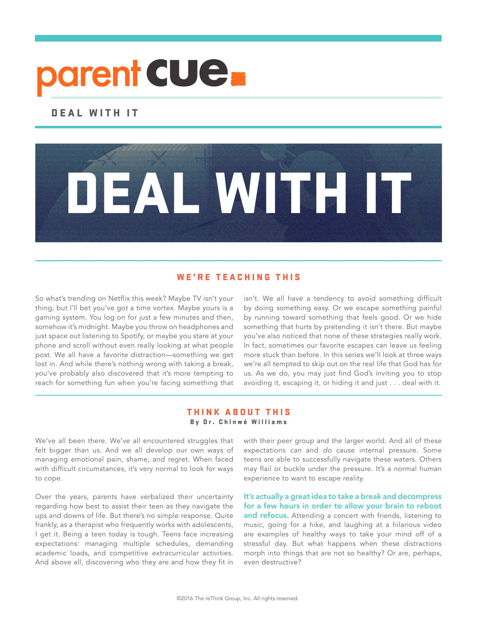# parent CUE.

## DEAL WITH IT

### WE'RE TEACHING THIS

\_\_\_\_\_\_\_\_\_\_\_\_\_\_\_\_\_\_\_\_\_\_\_\_\_\_\_\_\_\_\_\_\_\_\_\_\_\_\_\_\_\_\_\_\_\_\_\_\_\_\_\_\_\_\_\_\_\_\_\_\_\_\_\_\_\_\_\_\_\_\_\_\_\_\_\_\_\_\_\_\_\_\_\_\_\_\_\_\_\_\_\_\_\_\_\_\_\_\_\_\_\_\_\_\_\_\_\_\_\_

DEAL WITH IT

So what's trending on Netflix this week? Maybe TV isn't your thing, but I'll bet you've got a time vortex. Maybe yours is a gaming system. You log on for just a few minutes and then, somehow it's midnight. Maybe you throw on headphones and just space out listening to Spotify, or maybe you stare at your phone and scroll without even really looking at what people post. We all have a favorite distraction—something we get lost in. And while there's nothing wrong with taking a break, you've probably also discovered that it's more tempting to reach for something fun when you're facing something that

isn't. We all have a tendency to avoid something difficult by doing something easy. Or we escape something painful by running toward something that feels good. Or we hide something that hurts by pretending it isn't there. But maybe you've also noticed that none of these strategies really work. In fact, sometimes our favorite escapes can leave us feeling more stuck than before. In this series we'll look at three ways we're all tempted to skip out on the real life that God has for us. As we do, you may just find God's inviting you to stop avoiding it, escaping it, or hiding it and just . . . deal with it.

#### THINK ABOUT THIS By Dr. Chinwé Williams

\_\_\_\_\_\_\_\_\_\_\_\_\_\_\_\_\_\_\_\_\_\_\_\_\_\_\_\_\_\_\_\_\_\_\_\_\_\_\_\_\_\_\_\_\_\_\_\_\_\_\_\_\_\_\_\_\_\_\_\_\_\_\_\_\_\_\_\_\_\_\_\_\_\_\_\_\_\_\_\_\_\_\_\_\_\_\_\_\_\_\_\_\_\_\_\_\_\_\_\_\_\_\_\_\_\_\_\_\_\_

We've all been there. We've all encountered struggles that felt bigger than us. And we all develop our own ways of managing emotional pain, shame, and regret. When faced with difficult circumstances, it's very normal to look for ways to cope.

Over the years, parents have verbalized their uncertainty regarding how best to assist their teen as they navigate the ups and downs of life. But there's no simple response. Quite frankly, as a therapist who frequently works with adolescents, I get it. Being a teen today is tough. Teens face increasing expectations: managing multiple schedules, demanding academic loads, and competitive extracurricular activities. And above all, discovering who they are and how they fit in

with their peer group and the larger world. And all of these expectations can and do cause internal pressure. Some teens are able to successfully navigate these waters. Others may flail or buckle under the pressure. It's a normal human experience to want to escape reality.

It's actually a great idea to take a break and decompress for a few hours in order to allow your brain to reboot and refocus. Attending a concert with friends, listening to music, going for a hike, and laughing at a hilarious video are examples of healthy ways to take your mind off of a stressful day. But what happens when these distractions morph into things that are not so healthy? Or are, perhaps, even destructive?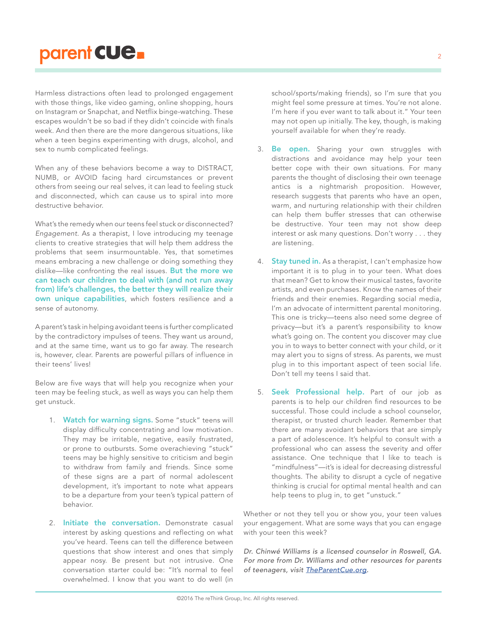# parent CUe.

Harmless distractions often lead to prolonged engagement with those things, like video gaming, online shopping, hours on Instagram or Snapchat, and Netflix binge-watching. These escapes wouldn't be so bad if they didn't coincide with finals week. And then there are the more dangerous situations, like when a teen begins experimenting with drugs, alcohol, and sex to numb complicated feelings.

When any of these behaviors become a way to DISTRACT, NUMB, or AVOID facing hard circumstances or prevent others from seeing our real selves, it can lead to feeling stuck and disconnected, which can cause us to spiral into more destructive behavior.

What's the remedy when our teens feel stuck or disconnected? Engagement. As a therapist, I love introducing my teenage clients to creative strategies that will help them address the problems that seem insurmountable. Yes, that sometimes means embracing a new challenge or doing something they dislike—like confronting the real issues. But the more we can teach our children to deal with (and not run away from) life's challenges, the better they will realize their own unique capabilities, which fosters resilience and a sense of autonomy.

A parent's task in helping avoidant teens is further complicated by the contradictory impulses of teens. They want us around, and at the same time, want us to go far away. The research is, however, clear. Parents are powerful pillars of influence in their teens' lives!

Below are five ways that will help you recognize when your teen may be feeling stuck, as well as ways you can help them get unstuck.

- 1. Watch for warning signs. Some "stuck" teens will display difficulty concentrating and low motivation. They may be irritable, negative, easily frustrated, or prone to outbursts. Some overachieving "stuck" teens may be highly sensitive to criticism and begin to withdraw from family and friends. Since some of these signs are a part of normal adolescent development, it's important to note what appears to be a departure from your teen's typical pattern of behavior.
- 2. Initiate the conversation. Demonstrate casual interest by asking questions and reflecting on what you've heard. Teens can tell the difference between questions that show interest and ones that simply appear nosy. Be present but not intrusive. One conversation starter could be: "It's normal to feel overwhelmed. I know that you want to do well (in

school/sports/making friends), so I'm sure that you might feel some pressure at times. You're not alone. I'm here if you ever want to talk about it." Your teen may not open up initially. The key, though, is making yourself available for when they're ready.

- 3. Be open. Sharing your own struggles with distractions and avoidance may help your teen better cope with their own situations. For many parents the thought of disclosing their own teenage antics is a nightmarish proposition. However, research suggests that parents who have an open, warm, and nurturing relationship with their children can help them buffer stresses that can otherwise be destructive. Your teen may not show deep interest or ask many questions. Don't worry . . . they are listening.
- 4. Stay tuned in. As a therapist, I can't emphasize how important it is to plug in to your teen. What does that mean? Get to know their musical tastes, favorite artists, and even purchases. Know the names of their friends and their enemies. Regarding social media, I'm an advocate of intermittent parental monitoring. This one is tricky—teens also need some degree of privacy—but it's a parent's responsibility to know what's going on. The content you discover may clue you in to ways to better connect with your child, or it may alert you to signs of stress. As parents, we must plug in to this important aspect of teen social life. Don't tell my teens I said that.
- 5. **Seek Professional help.** Part of our job as parents is to help our children find resources to be successful. Those could include a school counselor, therapist, or trusted church leader. Remember that there are many avoidant behaviors that are simply a part of adolescence. It's helpful to consult with a professional who can assess the severity and offer assistance. One technique that I like to teach is "mindfulness"—it's is ideal for decreasing distressful thoughts. The ability to disrupt a cycle of negative thinking is crucial for optimal mental health and can help teens to plug in, to get "unstuck."

Whether or not they tell you or show you, your teen values your engagement. What are some ways that you can engage with your teen this week?

Dr. Chinwé Williams is a licensed counselor in Roswell, GA. For more from Dr. Williams and other resources for parents of teenagers, visit TheParentCue.org.